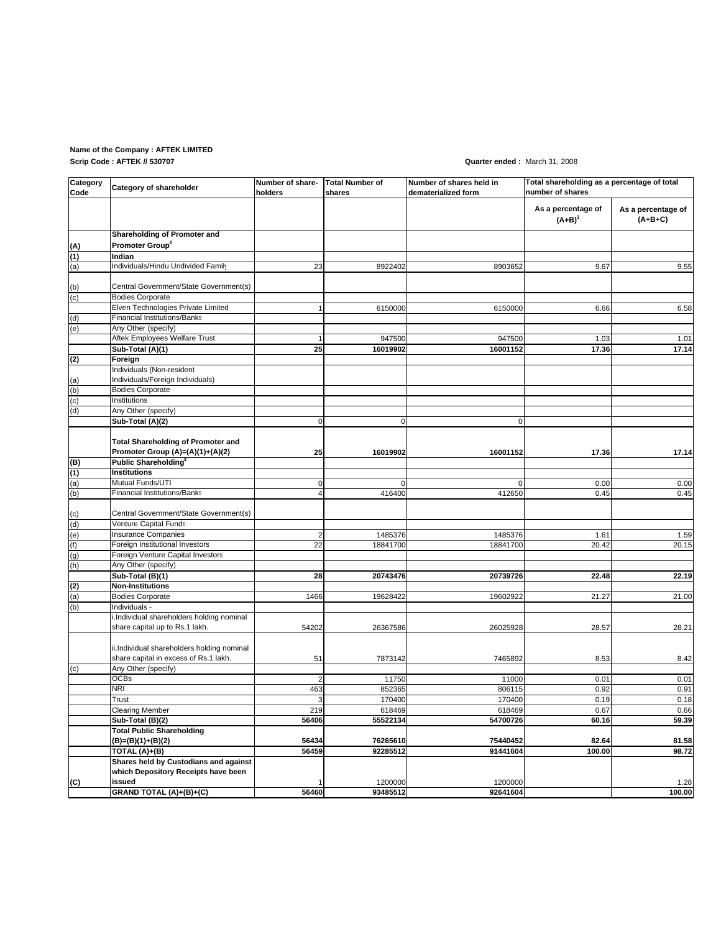# **Name of the Company : AFTEK LIMITED**

**Scrip Code : AFTEK // 530707**

### **Quarter ended :** March 31, 2008

| Category<br>Code | Category of shareholder                                              | Number of share-<br>holders | <b>Total Number of</b><br>shares | Number of shares held in<br>dematerialized form | Total shareholding as a percentage of total<br>number of shares |                                 |
|------------------|----------------------------------------------------------------------|-----------------------------|----------------------------------|-------------------------------------------------|-----------------------------------------------------------------|---------------------------------|
|                  |                                                                      |                             |                                  |                                                 | As a percentage of<br>$(A+B)^{1}$                               | As a percentage of<br>$(A+B+C)$ |
|                  | Shareholding of Promoter and                                         |                             |                                  |                                                 |                                                                 |                                 |
| (A)              | Promoter Group <sup>2</sup>                                          |                             |                                  |                                                 |                                                                 |                                 |
| (1)              | Indian                                                               |                             |                                  |                                                 |                                                                 |                                 |
| (a)              | Individuals/Hindu Undivided Family                                   | 23                          | 8922402                          | 8903652                                         | 9.67                                                            | 9.55                            |
|                  |                                                                      |                             |                                  |                                                 |                                                                 |                                 |
| (b)              | Central Government/State Government(s)                               |                             |                                  |                                                 |                                                                 |                                 |
| (c)              | <b>Bodies Corporate</b>                                              |                             |                                  |                                                 |                                                                 |                                 |
|                  | Elven Technologies Private Limited                                   | $\mathbf{1}$                | 6150000                          | 6150000                                         | 6.66                                                            | 6.58                            |
| (d)              | <b>Financial Institutions/Banks</b>                                  |                             |                                  |                                                 |                                                                 |                                 |
| (e)              | Any Other (specify)                                                  |                             |                                  |                                                 |                                                                 |                                 |
|                  | Aftek Employees Welfare Trust                                        | $\mathbf{1}$                | 947500                           | 947500                                          | 1.03                                                            | 1.01                            |
|                  | Sub-Total (A)(1)                                                     | 25                          | 16019902                         | 16001152                                        | 17.36                                                           | 17.14                           |
| (2)              | Foreign                                                              |                             |                                  |                                                 |                                                                 |                                 |
|                  | Individuals (Non-resident                                            |                             |                                  |                                                 |                                                                 |                                 |
| (a)              | Individuals/Foreign Individuals)                                     |                             |                                  |                                                 |                                                                 |                                 |
| (b)              | <b>Bodies Corporate</b>                                              |                             |                                  |                                                 |                                                                 |                                 |
| (c)              | Institutions                                                         |                             |                                  |                                                 |                                                                 |                                 |
| (d)              | Any Other (specify)                                                  |                             |                                  |                                                 |                                                                 |                                 |
|                  | Sub-Total (A)(2)                                                     | $\mathbf 0$                 | 0                                | $\mathbf 0$                                     |                                                                 |                                 |
|                  |                                                                      |                             |                                  |                                                 |                                                                 |                                 |
|                  | <b>Total Shareholding of Promoter and</b>                            |                             |                                  |                                                 |                                                                 |                                 |
|                  | Promoter Group (A)=(A)(1)+(A)(2)<br>Public Shareholding <sup>3</sup> | 25                          | 16019902                         | 16001152                                        | 17.36                                                           | 17.14                           |
| (B)              | <b>Institutions</b>                                                  |                             |                                  |                                                 |                                                                 |                                 |
| (1)              | Mutual Funds/UTI                                                     | 0                           |                                  |                                                 | 0.00                                                            | 0.00                            |
| (a)<br>(b)       | <b>Financial Institutions/Banks</b>                                  | 4                           | 416400                           | 412650                                          | 0.45                                                            | 0.45                            |
|                  |                                                                      |                             |                                  |                                                 |                                                                 |                                 |
| (c)              | Central Government/State Government(s)                               |                             |                                  |                                                 |                                                                 |                                 |
| (d)              | Venture Capital Funds                                                |                             |                                  |                                                 |                                                                 |                                 |
| (e)              | <b>Insurance Companies</b>                                           | $\overline{2}$              | 1485376                          | 1485376                                         | 1.61                                                            | 1.59                            |
| (f)              | Foreign Institutional Investors                                      | 22                          | 18841700                         | 18841700                                        | 20.42                                                           | 20.15                           |
| (g)              | Foreign Venture Capital Investors                                    |                             |                                  |                                                 |                                                                 |                                 |
| (h)              | Any Other (specify)                                                  |                             |                                  |                                                 |                                                                 |                                 |
|                  | Sub-Total (B)(1)                                                     | 28                          | 20743476                         | 20739726                                        | 22.48                                                           | 22.19                           |
| (2)              | <b>Non-Institutions</b>                                              |                             |                                  |                                                 |                                                                 |                                 |
| (a)              | <b>Bodies Corporate</b>                                              | 1466                        | 19628422                         | 19602922                                        | 21.27                                                           | 21.00                           |
| (b)              | Individuals -                                                        |                             |                                  |                                                 |                                                                 |                                 |
|                  | i.Individual shareholders holding nominal                            |                             |                                  |                                                 |                                                                 |                                 |
|                  | share capital up to Rs.1 lakh.                                       | 54202                       | 26367586                         | 26025928                                        | 28.57                                                           | 28.21                           |
|                  |                                                                      |                             |                                  |                                                 |                                                                 |                                 |
|                  | ii.Individual shareholders holding nominal                           |                             |                                  |                                                 |                                                                 |                                 |
|                  | share capital in excess of Rs.1 lakh.                                | 51                          | 7873142                          | 7465892                                         | 8.53                                                            | 8.42                            |
| (c)              | Any Other (specify)                                                  |                             |                                  |                                                 |                                                                 |                                 |
|                  | <b>OCBs</b>                                                          | $\overline{2}$              | 11750                            | 11000                                           | 0.01                                                            | 0.01                            |
|                  | NRI                                                                  | 463                         | 852365                           | 806115                                          | 0.92                                                            | 0.91                            |
|                  | Trust                                                                | $\overline{3}$              | 170400                           | 170400                                          | 0.19                                                            | 0.18                            |
|                  | <b>Clearing Member</b>                                               | 219                         | 618469                           | 618469                                          | 0.67                                                            | 0.66                            |
|                  | Sub-Total (B)(2)                                                     | 56406                       | 55522134                         | 54700726                                        | 60.16                                                           | 59.39                           |
|                  | <b>Total Public Shareholding</b>                                     |                             |                                  |                                                 |                                                                 |                                 |
|                  | (B)=(B)(1)+(B)(2)                                                    | 56434                       | 76265610                         | 75440452                                        | 82.64                                                           | 81.58                           |
|                  | TOTAL (A)+(B)                                                        | 56459                       | 92285512                         | 91441604                                        | 100.00                                                          | 98.72                           |
|                  | Shares held by Custodians and against                                |                             |                                  |                                                 |                                                                 |                                 |
|                  | which Depository Receipts have been                                  |                             |                                  |                                                 |                                                                 |                                 |
| (C)              | issued                                                               | $\mathbf{1}$                | 1200000                          | 1200000                                         |                                                                 | 1.28                            |
|                  | GRAND TOTAL (A)+(B)+(C)                                              | 56460                       | 93485512                         | 92641604                                        |                                                                 | 100.00                          |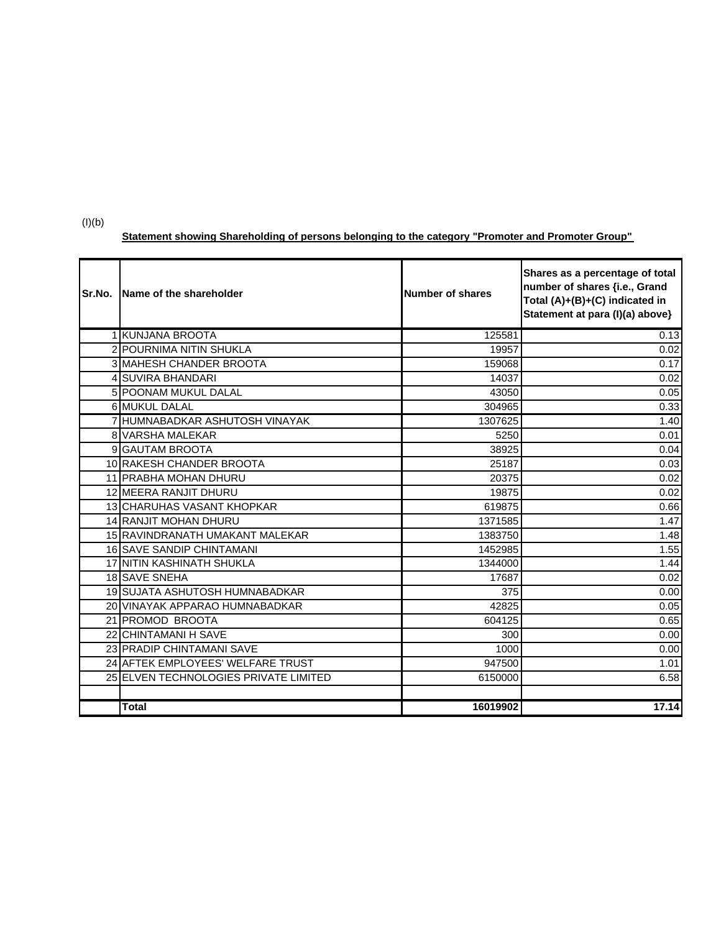(I)(b)

## **Statement showing Shareholding of persons belonging to the category "Promoter and Promoter Group"**

| Sr.No. | Name of the shareholder               | Number of shares | Shares as a percentage of total<br>number of shares {i.e., Grand<br>Total (A)+(B)+(C) indicated in<br>Statement at para (I)(a) above} |
|--------|---------------------------------------|------------------|---------------------------------------------------------------------------------------------------------------------------------------|
|        | 1 KUNJANA BROOTA                      | 125581           | 0.13                                                                                                                                  |
|        | 2 POURNIMA NITIN SHUKLA               | 19957            | 0.02                                                                                                                                  |
|        | <b>3 MAHESH CHANDER BROOTA</b>        | 159068           | 0.17                                                                                                                                  |
|        | 4 SUVIRA BHANDARI                     | 14037            | 0.02                                                                                                                                  |
|        | 5 POONAM MUKUL DALAL                  | 43050            | 0.05                                                                                                                                  |
|        | 6 MUKUL DALAL                         | 304965           | 0.33                                                                                                                                  |
|        | 7 HUMNABADKAR ASHUTOSH VINAYAK        | 1307625          | 1.40                                                                                                                                  |
|        | 8 VARSHA MALEKAR                      | 5250             | 0.01                                                                                                                                  |
|        | 9 GAUTAM BROOTA                       | 38925            | 0.04                                                                                                                                  |
|        | 10 RAKESH CHANDER BROOTA              | 25187            | 0.03                                                                                                                                  |
|        | 11 PRABHA MOHAN DHURU                 | 20375            | 0.02                                                                                                                                  |
|        | 12 MEERA RANJIT DHURU                 | 19875            | 0.02                                                                                                                                  |
|        | 13 CHARUHAS VASANT KHOPKAR            | 619875           | 0.66                                                                                                                                  |
|        | <b>14 RANJIT MOHAN DHURU</b>          | 1371585          | 1.47                                                                                                                                  |
|        | 15 RAVINDRANATH UMAKANT MALEKAR       | 1383750          | 1.48                                                                                                                                  |
|        | 16 SAVE SANDIP CHINTAMANI             | 1452985          | 1.55                                                                                                                                  |
|        | 17 NITIN KASHINATH SHUKLA             | 1344000          | 1.44                                                                                                                                  |
|        | 18 SAVE SNEHA                         | 17687            | 0.02                                                                                                                                  |
|        | 19 SUJATA ASHUTOSH HUMNABADKAR        | 375              | 0.00                                                                                                                                  |
|        | 20 VINAYAK APPARAO HUMNABADKAR        | 42825            | 0.05                                                                                                                                  |
|        | 21 PROMOD BROOTA                      | 604125           | 0.65                                                                                                                                  |
|        | 22 CHINTAMANI H SAVE                  | 300              | 0.00                                                                                                                                  |
|        | 23 PRADIP CHINTAMANI SAVE             | 1000             | 0.00                                                                                                                                  |
|        | 24 AFTEK EMPLOYEES' WELFARE TRUST     | 947500           | 1.01                                                                                                                                  |
|        | 25 ELVEN TECHNOLOGIES PRIVATE LIMITED | 6150000          | 6.58                                                                                                                                  |
|        |                                       |                  |                                                                                                                                       |
|        | Total                                 | 16019902         | 17.14                                                                                                                                 |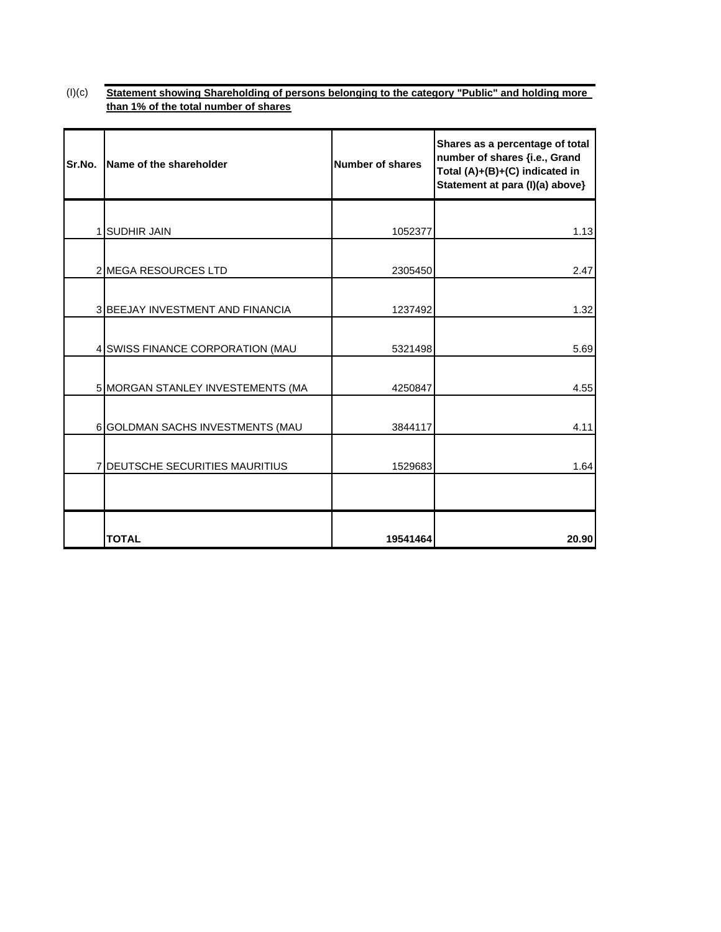#### $(I)(c)$ **Statement showing Shareholding of persons belonging to the category "Public" and holding more than 1% of the total number of shares**

| Sr.No. | Name of the shareholder                 | <b>Number of shares</b> | Shares as a percentage of total<br>number of shares {i.e., Grand<br>Total (A)+(B)+(C) indicated in<br>Statement at para (I)(a) above} |
|--------|-----------------------------------------|-------------------------|---------------------------------------------------------------------------------------------------------------------------------------|
|        |                                         |                         |                                                                                                                                       |
|        | <b>1 SUDHIR JAIN</b>                    | 1052377                 | 1.13                                                                                                                                  |
|        | 2 MEGA RESOURCES LTD                    | 2305450                 | 2.47                                                                                                                                  |
|        | <b>3 BEEJAY INVESTMENT AND FINANCIA</b> | 1237492                 | 1.32                                                                                                                                  |
|        | 4 SWISS FINANCE CORPORATION (MAU        | 5321498                 | 5.69                                                                                                                                  |
|        | 5 MORGAN STANLEY INVESTEMENTS (MA       | 4250847                 | 4.55                                                                                                                                  |
|        | 6 GOLDMAN SACHS INVESTMENTS (MAU        | 3844117                 | 4.11                                                                                                                                  |
|        | 7 DEUTSCHE SECURITIES MAURITIUS         | 1529683                 | 1.64                                                                                                                                  |
|        |                                         |                         |                                                                                                                                       |
|        | <b>TOTAL</b>                            | 19541464                | 20.90                                                                                                                                 |